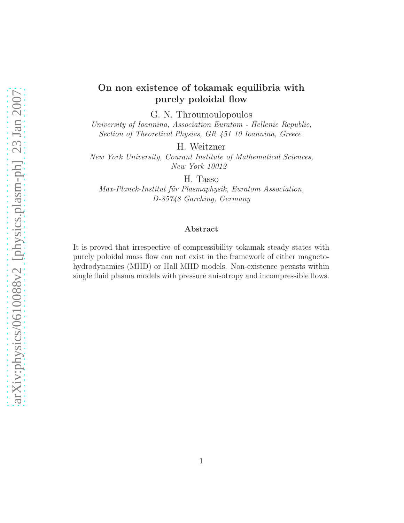# On non existence of tokamak equilibria with purely poloidal flow

G. N. Throumoulopoulos

University of Ioannina, Association Euratom - Hellenic Republic, Section of Theoretical Physics, GR 451 10 Ioannina, Greece

H. Weitzner

New York University, Courant Institute of Mathematical Sciences, New York 10012

H. Tasso

Max-Planck-Institut für Plasmaphysik, Euratom Association, D-85748 Garching, Germany

#### Abstract

It is proved that irrespective of compressibility tokamak steady states with purely poloidal mass flow can not exist in the framework of either magnetohydrodynamics (MHD) or Hall MHD models. Non-existence persists within single fluid plasma models with pressure anisotropy and incompressible flows.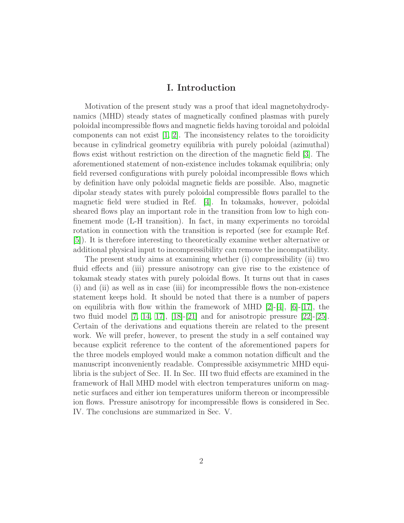## I. Introduction

Motivation of the present study was a proof that ideal magnetohydrodynamics (MHD) steady states of magnetically confined plasmas with purely poloidal incompressible flows and magnetic fields having toroidal and poloidal components can not exist  $[1, 2]$  $[1, 2]$ . The inconsistency relates to the toroidicity because in cylindrical geometry equilibria with purely poloidal (azimuthal) flows exist without restriction on the direction of the magnetic field [\[3\]](#page-13-2). The aforementioned statement of non-existence includes tokamak equilibria; only field reversed configurations with purely poloidal incompressible flows which by definition have only poloidal magnetic fields are possible. Also, magnetic dipolar steady states with purely poloidal compressible flows parallel to the magnetic field were studied in Ref. [\[4\]](#page-13-3). In tokamaks, however, poloidal sheared flows play an important role in the transition from low to high confinement mode (L-H transition). In fact, in many experiments no toroidal rotation in connection with the transition is reported (see for example Ref. [\[5\]](#page-13-4)). It is therefore interesting to theoretically examine wether alternative or additional physical input to incompressibility can remove the incompatibility.

The present study aims at examining whether (i) compressibility (ii) two fluid effects and (iii) pressure anisotropy can give rise to the existence of tokamak steady states with purely poloidal flows. It turns out that in cases (i) and (ii) as well as in case (iii) for incompressible flows the non-existence statement keeps hold. It should be noted that there is a number of papers on equilibria with flow within the framework of MHD  $[2]-[4]$  $[2]-[4]$ ,  $[6]-[17]$  $[6]-[17]$ , the two fluid model  $[7, 14, 17]$  $[7, 14, 17]$  $[7, 14, 17]$ ,  $[18]-[21]$  $[18]-[21]$  and for anisotropic pressure  $[22]-[25]$  $[22]-[25]$ . Certain of the derivations and equations therein are related to the present work. We will prefer, however, to present the study in a self contained way because explicit reference to the content of the aforementioned papers for the three models employed would make a common notation difficult and the manuscript inconveniently readable. Compressible axisymmetric MHD equilibria is the subject of Sec. II. In Sec. III two fluid effects are examined in the framework of Hall MHD model with electron temperatures uniform on magnetic surfaces and either ion temperatures uniform thereon or incompressible ion flows. Pressure anisotropy for incompressible flows is considered in Sec. IV. The conclusions are summarized in Sec. V.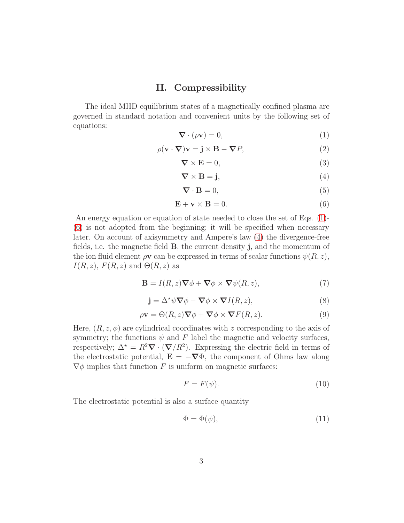## II. Compressibility

The ideal MHD equilibrium states of a magnetically confined plasma are governed in standard notation and convenient units by the following set of equations:

<span id="page-2-0"></span>
$$
\nabla \cdot (\rho \mathbf{v}) = 0,\tag{1}
$$

<span id="page-2-3"></span>
$$
\rho(\mathbf{v} \cdot \nabla)\mathbf{v} = \mathbf{j} \times \mathbf{B} - \nabla P,\tag{2}
$$

<span id="page-2-8"></span>
$$
\nabla \times \mathbf{E} = 0,\tag{3}
$$

<span id="page-2-2"></span>
$$
\nabla \times \mathbf{B} = \mathbf{j},\tag{4}
$$

<span id="page-2-5"></span>
$$
\nabla \cdot \mathbf{B} = 0,\tag{5}
$$

<span id="page-2-1"></span>
$$
\mathbf{E} + \mathbf{v} \times \mathbf{B} = 0. \tag{6}
$$

An energy equation or equation of state needed to close the set of Eqs. [\(1\)](#page-2-0)- [\(6\)](#page-2-1) is not adopted from the beginning; it will be specified when necessary later. On account of axisymmetry and Ampere's law [\(4\)](#page-2-2) the divergence-free fields, i.e. the magnetic field  $B$ , the current density  $\mathbf{j}$ , and the momentum of the ion fluid element  $\rho v$  can be expressed in terms of scalar functions  $\psi(R, z)$ ,  $I(R, z)$ ,  $F(R, z)$  and  $\Theta(R, z)$  as

<span id="page-2-6"></span>
$$
\mathbf{B} = I(R, z)\nabla\phi + \nabla\phi \times \nabla\psi(R, z),\tag{7}
$$

$$
\mathbf{j} = \Delta^* \psi \nabla \phi - \nabla \phi \times \nabla I(R, z),\tag{8}
$$

<span id="page-2-4"></span>
$$
\rho \mathbf{v} = \Theta(R, z) \nabla \phi + \nabla \phi \times \nabla F(R, z). \tag{9}
$$

Here,  $(R, z, \phi)$  are cylindrical coordinates with z corresponding to the axis of symmetry; the functions  $\psi$  and F label the magnetic and velocity surfaces, respectively;  $\Delta^* = R^2 \nabla \cdot (\nabla/R^2)$ . Expressing the electric field in terms of the electrostatic potential,  $\mathbf{E} = -\nabla \Phi$ , the component of Ohms law along  $\nabla \phi$  implies that function F is uniform on magnetic surfaces:

<span id="page-2-7"></span>
$$
F = F(\psi). \tag{10}
$$

The electrostatic potential is also a surface quantity

$$
\Phi = \Phi(\psi),\tag{11}
$$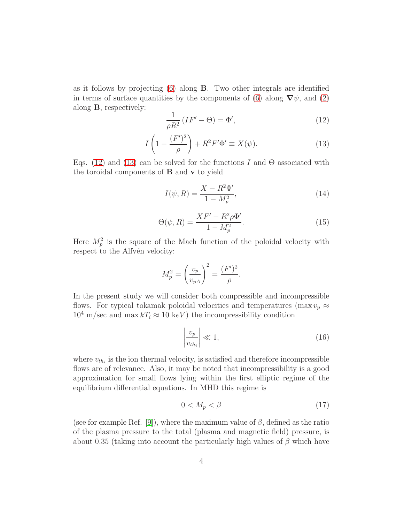as it follows by projecting [\(6\)](#page-2-1) along B. Two other integrals are identified in terms of surface quantities by the components of [\(6\)](#page-2-1) along  $\nabla \psi$ , and [\(2\)](#page-2-3) along B, respectively:

<span id="page-3-0"></span>
$$
\frac{1}{\rho R^2} \left( I F' - \Theta \right) = \Phi',\tag{12}
$$

<span id="page-3-1"></span>
$$
I\left(1 - \frac{(F')^2}{\rho}\right) + R^2 F' \Phi' \equiv X(\psi). \tag{13}
$$

Eqs. [\(12\)](#page-3-0) and [\(13\)](#page-3-1) can be solved for the functions I and  $\Theta$  associated with the toroidal components of B and v to yield

<span id="page-3-4"></span>
$$
I(\psi, R) = \frac{X - R^2 \Phi'}{1 - M_p^2},
$$
\n(14)

<span id="page-3-5"></span>
$$
\Theta(\psi, R) = \frac{XF' - R^2 \rho \Phi'}{1 - M_p^2}.
$$
\n(15)

Here  $M_p^2$  is the square of the Mach function of the poloidal velocity with respect to the Alfvén velocity:

$$
M_p^2 = \left(\frac{v_p}{v_{pA}}\right)^2 = \frac{(F')^2}{\rho}.
$$

In the present study we will consider both compressible and incompressible flows. For typical tokamak poloidal velocities and temperatures (max  $v_p \approx$  $10^4$  m/sec and max  $kT_i \approx 10 \text{ keV}$  the incompressibility condition

<span id="page-3-3"></span>
$$
\left|\frac{v_p}{v_{th_i}}\right| \ll 1,\tag{16}
$$

where  $v_{th_i}$  is the ion thermal velocity, is satisfied and therefore incompressible flows are of relevance. Also, it may be noted that incompressibility is a good approximation for small flows lying within the first elliptic regime of the equilibrium differential equations. In MHD this regime is

<span id="page-3-2"></span>
$$
0 < M_p < \beta \tag{17}
$$

(see for example Ref. [\[9\]](#page-13-10)), where the maximum value of  $\beta$ , defined as the ratio of the plasma pressure to the total (plasma and magnetic field) pressure, is about 0.35 (taking into account the particularly high values of  $\beta$  which have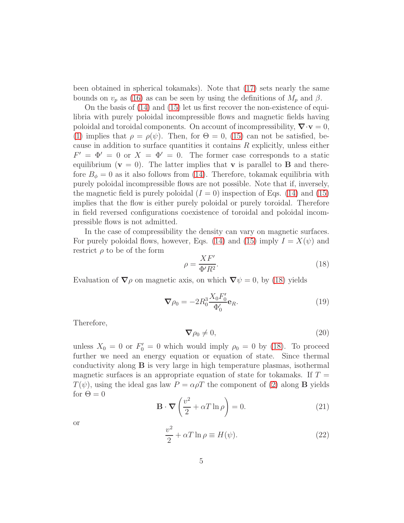been obtained in spherical tokamaks). Note that [\(17\)](#page-3-2) sets nearly the same bounds on  $v_p$  as [\(16\)](#page-3-3) as can be seen by using the definitions of  $M_p$  and  $\beta$ .

On the basis of [\(14\)](#page-3-4) and [\(15\)](#page-3-5) let us first recover the non-existence of equilibria with purely poloidal incompressible flows and magnetic fields having poloidal and toroidal components. On account of incompressibility,  $\nabla \cdot \mathbf{v} = 0$ , [\(1\)](#page-2-0) implies that  $\rho = \rho(\psi)$ . Then, for  $\Theta = 0$ , [\(15\)](#page-3-5) can not be satisfied, because in addition to surface quantities it contains R explicitly, unless either  $F' = \Phi' = 0$  or  $X = \Phi' = 0$ . The former case corresponds to a static equilibrium ( $v = 0$ ). The latter implies that v is parallel to **B** and therefore  $B_{\phi} = 0$  as it also follows from [\(14\)](#page-3-4). Therefore, tokamak equilibria with purely poloidal incompressible flows are not possible. Note that if, inversely, the magnetic field is purely poloidal  $(I = 0)$  inspection of Eqs. [\(14\)](#page-3-4) and [\(15\)](#page-3-5) implies that the flow is either purely poloidal or purely toroidal. Therefore in field reversed configurations coexistence of toroidal and poloidal incompressible flows is not admitted.

In the case of compressibility the density can vary on magnetic surfaces. For purely poloidal flows, however, Eqs. [\(14\)](#page-3-4) and [\(15\)](#page-3-5) imply  $I = X(\psi)$  and restrict  $\rho$  to be of the form

<span id="page-4-0"></span>
$$
\rho = \frac{XF'}{\Phi'R^2}.\tag{18}
$$

Evaluation of  $\nabla \rho$  on magnetic axis, on which  $\nabla \psi = 0$ , by [\(18\)](#page-4-0) yields

$$
\nabla \rho_0 = -2R_0^3 \frac{X_0 F_0'}{\Phi_0'} \mathbf{e}_R.
$$
 (19)

Therefore,

<span id="page-4-2"></span>
$$
\nabla \rho_0 \neq 0,\tag{20}
$$

unless  $X_0 = 0$  or  $F'_0 = 0$  which would imply  $\rho_0 = 0$  by [\(18\)](#page-4-0). To proceed further we need an energy equation or equation of state. Since thermal conductivity along B is very large in high temperature plasmas, isothermal magnetic surfaces is an appropriate equation of state for tokamaks. If  $T =$  $T(\psi)$ , using the ideal gas law  $P = \alpha \rho T$  the component of [\(2\)](#page-2-3) along **B** yields for  $\Theta = 0$ 

<span id="page-4-3"></span>
$$
\mathbf{B} \cdot \nabla \left( \frac{v^2}{2} + \alpha T \ln \rho \right) = 0. \tag{21}
$$

or

<span id="page-4-1"></span>
$$
\frac{v^2}{2} + \alpha T \ln \rho \equiv H(\psi). \tag{22}
$$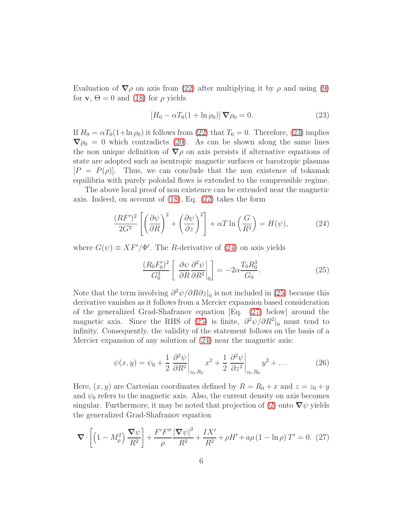Evaluation of  $\nabla \rho$  on axis from [\(22\)](#page-4-1) after multiplying it by  $\rho$  and using [\(9\)](#page-2-4) for **v**,  $\Theta = 0$  and [\(18\)](#page-4-0) for  $\rho$  yields

<span id="page-5-0"></span>
$$
[H_0 - \alpha T_0 (1 + \ln \rho_0)] \nabla \rho_0 = 0. \qquad (23)
$$

If  $H_0 = \alpha T_0(1+\ln \rho_0)$  it follows from [\(22\)](#page-4-1) that  $T_0 = 0$ . Therefore, [\(23\)](#page-5-0) implies  $\nabla \rho_0 = 0$  which contradicts [\(20\)](#page-4-2). As can be shown along the same lines the non unique definition of  $\nabla \rho$  on axis persists if alternative equations of state are adopted such as isentropic magnetic surfaces or barotropic plasmas  $[P = P(\rho)]$ . Thus, we can conclude that the non existence of tokamak equilibria with purely poloidal flows is extended to the compressible regime.

The above local proof of non existence can be extended near the magnetic axis. Indeed, on account of [\(18\)](#page-4-0), Eq. [\(22\)](#page-4-1) takes the form

<span id="page-5-1"></span>
$$
\frac{(RF')^2}{2G^2} \left[ \left( \frac{\partial \psi}{\partial R} \right)^2 + \left( \frac{\partial \psi}{\partial z} \right)^2 \right] + \alpha T \ln \left( \frac{G}{R^2} \right) = H(\psi),\tag{24}
$$

where  $G(\psi) \equiv XF'/\Phi'$ . The R-derivative of [\(24\)](#page-5-1) on axis yields

<span id="page-5-2"></span>
$$
\frac{(R_0 F_0')^2}{G_0^2} \left[ \left. \frac{\partial \psi}{\partial R} \frac{\partial^2 \psi}{\partial R^2} \right|_0 \right] = -2\alpha \frac{T_0 R_0^3}{G_0}.
$$
\n(25)

Note that the term involving  $\frac{\partial^2 \psi}{\partial R \partial z}\Big|_0$  is not included in [\(25\)](#page-5-2) because this derivative vanishes as it follows from a Mercier expansion based consideration of the generalized Grad-Shafranov equation [Eq. [\(27\)](#page-5-3) below] around the magnetic axis. Since the RHS of [\(25\)](#page-5-2) is finite,  $\partial^2 \psi / \partial R^2$ <sub>0</sub> must tend to infinity. Consequently, the validity of the statement follows on the basis of a Mercier expansion of any solution of [\(24\)](#page-5-1) near the magnetic axis:

$$
\psi(x,y) = \psi_0 + \frac{1}{2} \left. \frac{\partial^2 \psi}{\partial R^2} \right|_{z_0, R_0} x^2 + \frac{1}{2} \left. \frac{\partial^2 \psi}{\partial z^2} \right|_{z_0, R_0} y^2 + \dots \tag{26}
$$

Here,  $(x, y)$  are Cartesian coordinates defined by  $R = R_0 + x$  and  $z = z_0 + y$ and  $\psi_0$  refers to the magnetic axis. Also, the current density on axis becomes singular. Furthermore, it may be noted that projection of [\(2\)](#page-2-3) onto  $\nabla\psi$  yields the generalized Grad-Shafranov equation

<span id="page-5-3"></span>
$$
\nabla \cdot \left[ \left( 1 - M_p^2 \right) \frac{\nabla \psi}{R^2} \right] + \frac{F' F''}{\rho} \frac{|\nabla \psi|^2}{R^2} + \frac{I X'}{R^2} + \rho H' + a\rho \left( 1 - \ln \rho \right) T' = 0. \tag{27}
$$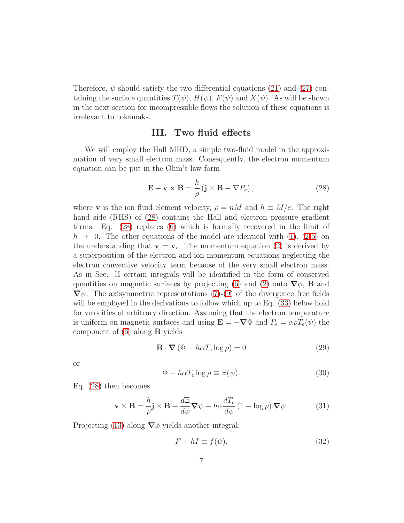Therefore,  $\psi$  should satisfy the two differential equations [\(21\)](#page-4-3) and [\(27\)](#page-5-3) containing the surface quantities  $T(\psi)$ ,  $H(\psi)$ ,  $F(\psi)$  and  $X(\psi)$ . As will be shown in the next section for incompressible flows the solution of these equations is irrelevant to tokamaks.

### III. Two fluid effects

We will employ the Hall MHD, a simple two-fluid model in the approximation of very small electron mass. Consequently, the electron momentum equation can be put in the Ohm's law form

<span id="page-6-0"></span>
$$
\mathbf{E} + \mathbf{v} \times \mathbf{B} = \frac{h}{\rho} (\mathbf{j} \times \mathbf{B} - \nabla P_e), \qquad (28)
$$

where **v** is the ion fluid element velocity,  $\rho = nM$  and  $h \equiv M/e$ . The right hand side (RHS) of [\(28\)](#page-6-0) contains the Hall and electron pressure gradient terms. Eq. [\(28\)](#page-6-0) replaces [\(6\)](#page-2-1) which is formally recovered in the limit of  $h \to 0$ . The other equations of the model are identical with [\(1\)](#page-2-0), [\(2](#page-2-3)[-5\)](#page-2-5) on the understanding that  $\mathbf{v} = \mathbf{v}_i$ . The momentum equation [\(2\)](#page-2-3) is derived by a superposition of the electron and ion momentum equations neglecting the electron convective velocity term because of the very small electron mass. As in Sec. II certain integrals will be identified in the form of conserved quantities on magnetic surfaces by projecting [\(6\)](#page-2-1) and [\(2\)](#page-2-3) onto  $\nabla \phi$ , **B** and  $\nabla \psi$ . The axisymmetric representations [\(7\)](#page-2-6)-[\(9\)](#page-2-4) of the divergence free fields will be employed in the derivations to follow which up to Eq. [\(33\)](#page-7-0) below hold for velocities of arbitrary direction. Assuming that the electron temperature is uniform on magnetic surfaces and using  $\mathbf{E} = -\nabla \Phi$  and  $P_e = \alpha \rho T_e(\psi)$  the component of  $(6)$  along **B** yields

$$
\mathbf{B} \cdot \mathbf{\nabla} \left( \Phi - h \alpha T_e \log \rho \right) = 0 \tag{29}
$$

or

<span id="page-6-3"></span>
$$
\Phi - h\alpha T_e \log \rho \equiv \Xi(\psi). \tag{30}
$$

Eq. [\(28\)](#page-6-0) then becomes

<span id="page-6-2"></span>
$$
\mathbf{v} \times \mathbf{B} = \frac{h}{\rho} \mathbf{j} \times \mathbf{B} + \frac{d\Xi}{d\psi} \mathbf{\nabla}\psi - h\alpha \frac{dT_e}{d\psi} (1 - \log \rho) \mathbf{\nabla}\psi.
$$
 (31)

Projecting [\(13\)](#page-3-1) along  $\nabla \phi$  yields another integral:

<span id="page-6-1"></span>
$$
F + hI \equiv f(\psi). \tag{32}
$$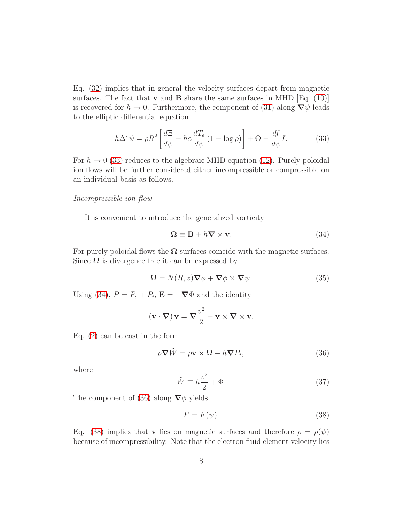Eq. [\(32\)](#page-6-1) implies that in general the velocity surfaces depart from magnetic surfaces. The fact that  $\bf{v}$  and  $\bf{B}$  share the same surfaces in MHD [Eq. [\(10\)](#page-2-7)] is recovered for  $h \to 0$ . Furthermore, the component of [\(31\)](#page-6-2) along  $\nabla \psi$  leads to the elliptic differential equation

<span id="page-7-0"></span>
$$
h\Delta^{\star}\psi = \rho R^2 \left[ \frac{d\Xi}{d\psi} - h\alpha \frac{dT_e}{d\psi} (1 - \log \rho) \right] + \Theta - \frac{df}{d\psi}I. \tag{33}
$$

For  $h \to 0$  [\(33\)](#page-7-0) reduces to the algebraic MHD equation [\(12\)](#page-3-0). Purely poloidal ion flows will be further considered either incompressible or compressible on an individual basis as follows.

#### Incompressible ion flow

It is convenient to introduce the generalized vorticity

<span id="page-7-1"></span>
$$
\Omega \equiv \mathbf{B} + h \nabla \times \mathbf{v}.\tag{34}
$$

For purely poloidal flows the  $\Omega$ -surfaces coincide with the magnetic surfaces. Since  $\Omega$  is divergence free it can be expressed by

<span id="page-7-4"></span>
$$
\Omega = N(R, z)\nabla \phi + \nabla \phi \times \nabla \psi.
$$
 (35)

Using [\(34\)](#page-7-1),  $P = P_e + P_i$ ,  $\mathbf{E} = -\nabla \Phi$  and the identity

$$
(\mathbf{v} \cdot \nabla) \mathbf{v} = \nabla \frac{v^2}{2} - \mathbf{v} \times \nabla \times \mathbf{v},
$$

Eq. [\(2\)](#page-2-3) can be cast in the form

<span id="page-7-2"></span>
$$
\rho \nabla \tilde{W} = \rho \mathbf{v} \times \mathbf{\Omega} - h \nabla P_i, \tag{36}
$$

where

<span id="page-7-5"></span>
$$
\tilde{W} \equiv h \frac{v^2}{2} + \Phi. \tag{37}
$$

The component of [\(36\)](#page-7-2) along  $\nabla \phi$  yields

<span id="page-7-3"></span>
$$
F = F(\psi). \tag{38}
$$

Eq. [\(38\)](#page-7-3) implies that **v** lies on magnetic surfaces and therefore  $\rho = \rho(\psi)$ because of incompressibility. Note that the electron fluid element velocity lies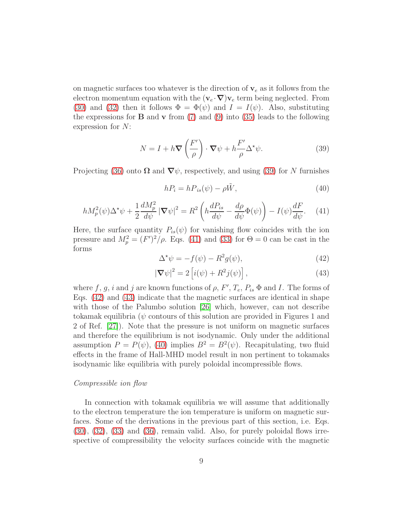on magnetic surfaces too whatever is the direction of  $v_e$  as it follows from the electron momentum equation with the  $(\mathbf{v}_e \cdot \nabla) \mathbf{v}_e$  term being neglected. From [\(30\)](#page-6-3) and [\(32\)](#page-6-1) then it follows  $\Phi = \Phi(\psi)$  and  $I = I(\psi)$ . Also, substituting the expressions for **B** and **v** from [\(7\)](#page-2-6) and [\(9\)](#page-2-4) into [\(35\)](#page-7-4) leads to the following expression for N:

<span id="page-8-0"></span>
$$
N = I + h \nabla \left(\frac{F'}{\rho}\right) \cdot \nabla \psi + h \frac{F'}{\rho} \Delta^* \psi.
$$
 (39)

Projecting [\(36\)](#page-7-2) onto  $\Omega$  and  $\nabla \psi$ , respectively, and using [\(39\)](#page-8-0) for N furnishes

<span id="page-8-4"></span>
$$
hP_i = hP_{is}(\psi) - \rho \tilde{W},\tag{40}
$$

<span id="page-8-1"></span>
$$
hM_p^2(\psi)\Delta^{\star}\psi + \frac{1}{2}\frac{dM_p^2}{d\psi}|\boldsymbol{\nabla}\psi|^2 = R^2 \left( h\frac{dP_{is}}{d\psi} - \frac{d\rho}{d\psi}\Phi(\psi) \right) - I(\psi)\frac{dF}{d\psi}.\tag{41}
$$

Here, the surface quantity  $P_{is}(\psi)$  for vanishing flow coincides with the ion pressure and  $M_p^2 = (F')^2/\rho$ . Eqs. [\(41\)](#page-8-1) and [\(33\)](#page-7-0) for  $\Theta = 0$  can be cast in the forms

<span id="page-8-2"></span>
$$
\Delta^* \psi = -f(\psi) - R^2 g(\psi),\tag{42}
$$

<span id="page-8-3"></span>
$$
|\nabla \psi|^2 = 2 \left[ i(\psi) + R^2 j(\psi) \right],\tag{43}
$$

where f, g, i and j are known functions of  $\rho$ ,  $F'$ ,  $T_e$ ,  $P_{is}$   $\Phi$  and I. The forms of Eqs. [\(42\)](#page-8-2) and [\(43\)](#page-8-3) indicate that the magnetic surfaces are identical in shape with those of the Palumbo solution [\[26\]](#page-14-3) which, however, can not describe tokamak equilibria ( $\psi$  contours of this solution are provided in Figures 1 and 2 of Ref. [\[27\]](#page-14-4)). Note that the pressure is not uniform on magnetic surfaces and therefore the equilibrium is not isodynamic. Only under the additional assumption  $P = P(\psi)$ , [\(40\)](#page-8-4) implies  $B^2 = B^2(\psi)$ . Recapitulating, two fluid effects in the frame of Hall-MHD model result in non pertinent to tokamaks isodynamic like equilibria with purely poloidal incompressible flows.

#### Compressible ion flow

In connection with tokamak equilibria we will assume that additionally to the electron temperature the ion temperature is uniform on magnetic surfaces. Some of the derivations in the previous part of this section, i.e. Eqs. [\(30\)](#page-6-3), [\(32\)](#page-6-1), [\(33\)](#page-7-0) and [\(36\)](#page-7-2), remain valid. Also, for purely poloidal flows irrespective of compressibility the velocity surfaces coincide with the magnetic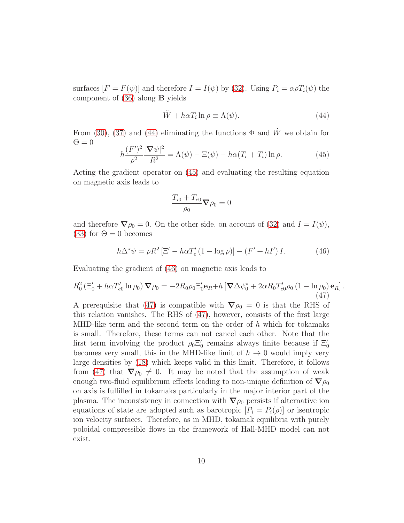surfaces  $[F = F(\psi)]$  and therefore  $I = I(\psi)$  by [\(32\)](#page-6-1). Using  $P_i = \alpha \rho T_i(\psi)$  the component of [\(36\)](#page-7-2) along B yields

<span id="page-9-0"></span>
$$
\tilde{W} + h\alpha T_i \ln \rho \equiv \Lambda(\psi). \tag{44}
$$

From [\(30\)](#page-6-3), [\(37\)](#page-7-5) and [\(44\)](#page-9-0) eliminating the functions  $\Phi$  and  $\tilde{W}$  we obtain for  $\Theta = 0$ 

<span id="page-9-1"></span>
$$
h\frac{(F')^2}{\rho^2}\frac{|\nabla\psi|^2}{R^2} = \Lambda(\psi) - \Xi(\psi) - h\alpha(T_e + T_i)\ln\rho.
$$
 (45)

Acting the gradient operator on [\(45\)](#page-9-1) and evaluating the resulting equation on magnetic axis leads to

$$
\frac{T_{i0} + T_{e0}}{\rho_0} \nabla \rho_0 = 0
$$

and therefore  $\nabla \rho_0 = 0$ . On the other side, on account of [\(32\)](#page-6-1) and  $I = I(\psi)$ , [\(33\)](#page-7-0) for  $\Theta = 0$  becomes

<span id="page-9-2"></span>
$$
h\Delta^{\star}\psi = \rho R^2 \left[\Xi' - h\alpha T_e'(1 - \log \rho)\right] - \left(F' + hI'\right)I. \tag{46}
$$

Evaluating the gradient of [\(46\)](#page-9-2) on magnetic axis leads to

<span id="page-9-3"></span>
$$
R_0^2 \left( \Xi_0' + h \alpha T_{e0}' \ln \rho_0 \right) \nabla \rho_0 = -2R_0 \rho_0 \Xi_0' \mathbf{e}_R + h \left[ \nabla \Delta \psi_0^* + 2 \alpha R_0 T_{e0}' \rho_0 \left( 1 - \ln \rho_0 \right) \mathbf{e}_R \right]. \tag{47}
$$

A prerequisite that [\(47\)](#page-9-3) is compatible with  $\nabla \rho_0 = 0$  is that the RHS of this relation vanishes. The RHS of [\(47\)](#page-9-3), however, consists of the first large MHD-like term and the second term on the order of  $h$  which for tokamaks is small. Therefore, these terms can not cancel each other. Note that the first term involving the product  $\rho_0 \Xi_0'$  remains always finite because if  $\Xi_0'$ becomes very small, this in the MHD-like limit of  $h \to 0$  would imply very large densities by [\(18\)](#page-4-0) which keeps valid in this limit. Therefore, it follows from [\(47\)](#page-9-3) that  $\nabla \rho_0 \neq 0$ . It may be noted that the assumption of weak enough two-fluid equilibrium effects leading to non-unique definition of  $\nabla \rho_0$ on axis is fulfilled in tokamaks particularly in the major interior part of the plasma. The inconsistency in connection with  $\nabla \rho_0$  persists if alternative ion equations of state are adopted such as barotropic  $[P_i = P_i(\rho)]$  or isentropic ion velocity surfaces. Therefore, as in MHD, tokamak equilibria with purely poloidal compressible flows in the framework of Hall-MHD model can not exist.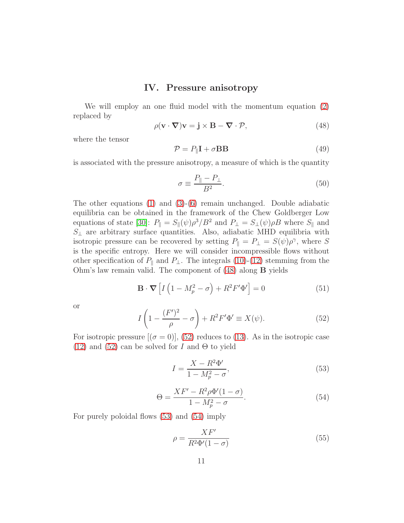## IV. Pressure anisotropy

We will employ an one fluid model with the momentum equation [\(2\)](#page-2-3) replaced by

<span id="page-10-0"></span>
$$
\rho(\mathbf{v} \cdot \nabla)\mathbf{v} = \mathbf{j} \times \mathbf{B} - \nabla \cdot \mathcal{P},\tag{48}
$$

where the tensor

$$
\mathcal{P} = P_{\parallel} \mathbf{I} + \sigma \mathbf{B} \mathbf{B} \tag{49}
$$

is associated with the pressure anisotropy, a measure of which is the quantity

$$
\sigma \equiv \frac{P_{\parallel} - P_{\perp}}{B^2}.\tag{50}
$$

The other equations  $(1)$  and  $(3)-(6)$  $(3)-(6)$  remain unchanged. Double adiabatic equilibria can be obtained in the framework of the Chew Goldberger Low equations of state [\[30\]](#page-14-5):  $P_{\parallel} = S_{\parallel}(\psi)\rho^3/B^2$  and  $P_{\perp} = S_{\perp}(\psi)\rho B$  where  $S_{\parallel}$  and  $S_{\perp}$  are arbitrary surface quantities. Also, adiabatic MHD equilibria with isotropic pressure can be recovered by setting  $P_{\parallel} = P_{\perp} = S(\psi)\rho^{\gamma}$ , where S is the specific entropy. Here we will consider incompressible flows without other specification of  $P_{\parallel}$  and  $P_{\perp}$ . The integrals [\(10\)](#page-2-7)-[\(12\)](#page-3-0) stemming from the Ohm's law remain valid. The component of [\(48\)](#page-10-0) along B yields

$$
\mathbf{B} \cdot \mathbf{\nabla} \left[ I \left( 1 - M_p^2 - \sigma \right) + R^2 F' \Phi' \right] = 0 \tag{51}
$$

or

<span id="page-10-1"></span>
$$
I\left(1 - \frac{(F')^2}{\rho} - \sigma\right) + R^2 F' \Phi' \equiv X(\psi). \tag{52}
$$

For isotropic pressure  $[(\sigma = 0)], (52)$  $[(\sigma = 0)], (52)$  reduces to [\(13\)](#page-3-1). As in the isotropic case [\(12\)](#page-3-0) and [\(52\)](#page-10-1) can be solved for I and  $\Theta$  to yield

<span id="page-10-2"></span>
$$
I = \frac{X - R^2 \Phi'}{1 - M_p^2 - \sigma},\tag{53}
$$

<span id="page-10-3"></span>
$$
\Theta = \frac{XF' - R^2 \rho \Phi'(1 - \sigma)}{1 - M_p^2 - \sigma}.
$$
\n(54)

For purely poloidal flows [\(53\)](#page-10-2) and [\(54\)](#page-10-3) imply

<span id="page-10-4"></span>
$$
\rho = \frac{XF'}{R^2 \Phi'(1 - \sigma)}\tag{55}
$$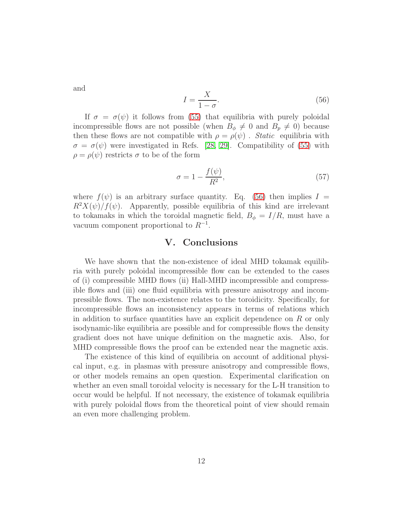and

<span id="page-11-0"></span>
$$
I = \frac{X}{1 - \sigma}.\tag{56}
$$

If  $\sigma = \sigma(\psi)$  it follows from [\(55\)](#page-10-4) that equilibria with purely poloidal incompressible flows are not possible (when  $B_{\phi} \neq 0$  and  $B_{p} \neq 0$ ) because then these flows are not compatible with  $\rho = \rho(\psi)$ . Static equilibria with  $\sigma = \sigma(\psi)$  were investigated in Refs. [\[28,](#page-14-6) [29\]](#page-14-7). Compatibility of [\(55\)](#page-10-4) with  $\rho = \rho(\psi)$  restricts  $\sigma$  to be of the form

$$
\sigma = 1 - \frac{f(\psi)}{R^2},\tag{57}
$$

where  $f(\psi)$  is an arbitrary surface quantity. Eq. [\(56\)](#page-11-0) then implies  $I =$  $R^2X(\psi)/f(\psi)$ . Apparently, possible equilibria of this kind are irrelevant to tokamaks in which the toroidal magnetic field,  $B_{\phi} = I/R$ , must have a vacuum component proportional to  $R^{-1}$ .

## V. Conclusions

We have shown that the non-existence of ideal MHD tokamak equilibria with purely poloidal incompressible flow can be extended to the cases of (i) compressible MHD flows (ii) Hall-MHD incompressible and compressible flows and (iii) one fluid equilibria with pressure anisotropy and incompressible flows. The non-existence relates to the toroidicity. Specifically, for incompressible flows an inconsistency appears in terms of relations which in addition to surface quantities have an explicit dependence on  $R$  or only isodynamic-like equilibria are possible and for compressible flows the density gradient does not have unique definition on the magnetic axis. Also, for MHD compressible flows the proof can be extended near the magnetic axis.

The existence of this kind of equilibria on account of additional physical input, e.g. in plasmas with pressure anisotropy and compressible flows, or other models remains an open question. Experimental clarification on whether an even small toroidal velocity is necessary for the L-H transition to occur would be helpful. If not necessary, the existence of tokamak equilibria with purely poloidal flows from the theoretical point of view should remain an even more challenging problem.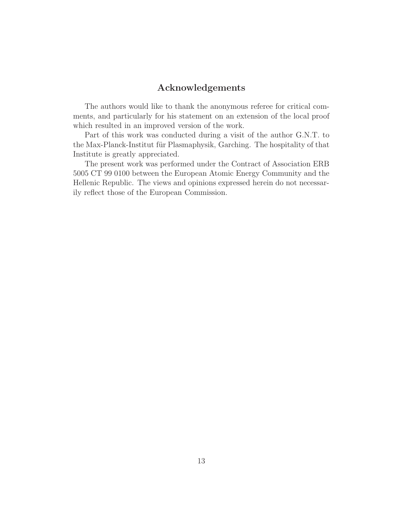## Acknowledgements

The authors would like to thank the anonymous referee for critical comments, and particularly for his statement on an extension of the local proof which resulted in an improved version of the work.

Part of this work was conducted during a visit of the author G.N.T. to the Max-Planck-Institut für Plasmaphysik, Garching. The hospitality of that Institute is greatly appreciated.

The present work was performed under the Contract of Association ERB 5005 CT 99 0100 between the European Atomic Energy Community and the Hellenic Republic. The views and opinions expressed herein do not necessarily reflect those of the European Commission.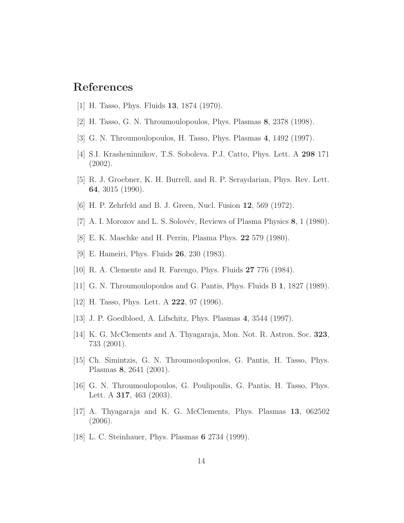# <span id="page-13-0"></span>References

- <span id="page-13-1"></span>[1] H. Tasso, Phys. Fluids 13, 1874 (1970).
- <span id="page-13-2"></span>[2] H. Tasso, G. N. Throumoulopoulos, Phys. Plasmas 8, 2378 (1998).
- <span id="page-13-3"></span>[3] G. N. Throumoulopoulos, H. Tasso, Phys. Plasmas 4, 1492 (1997).
- <span id="page-13-4"></span>[4] S.I. Krasheninnikov, T.S. Soboleva. P.J. Catto, Phys. Lett. A 298 171 (2002).
- <span id="page-13-5"></span>[5] R. J. Groebner, K. H. Burrell, and R. P. Seraydarian, Phys. Rev. Lett. 64, 3015 (1990).
- <span id="page-13-7"></span>[6] H. P. Zehrfeld and B. J. Green, Nucl. Fusion 12, 569 (1972).
- [7] A. I. Morozov and L. S. Solovév, Reviews of Plasma Physics  $\mathbf{8}, 1$  (1980).
- <span id="page-13-10"></span>[8] E. K. Maschke and H. Perrin, Plasma Phys. 22 579 (1980).
- [9] E. Hameiri, Phys. Fluids 26, 230 (1983).
- [10] R. A. Clemente and R. Farengo, Phys. Fluids 27 776 (1984).
- [11] G. N. Throumoulopoulos and G. Pantis, Phys. Fluids B 1, 1827 (1989).
- [12] H. Tasso, Phys. Lett. A **222**, 97 (1996).
- <span id="page-13-8"></span>[13] J. P. Goedbloed, A. Lifschitz, Phys. Plasmas 4, 3544 (1997).
- [14] K. G. McClements and A. Thyagaraja, Mon. Not. R. Astron. Soc. 323, 733 (2001).
- [15] Ch. Simintzis, G. N. Throumoulopoulos, G. Pantis, H. Tasso, Phys. Plasmas 8, 2641 (2001).
- [16] G. N. Throumoulopoulos, G. Poulipoulis, G. Pantis, H. Tasso, Phys. Lett. A 317, 463 (2003).
- <span id="page-13-6"></span>[17] A. Thyagaraja and K. G. McClements, Phys. Plasmas 13, 062502 (2006).
- <span id="page-13-9"></span>[18] L. C. Steinhauer, Phys. Plasmas 6 2734 (1999).